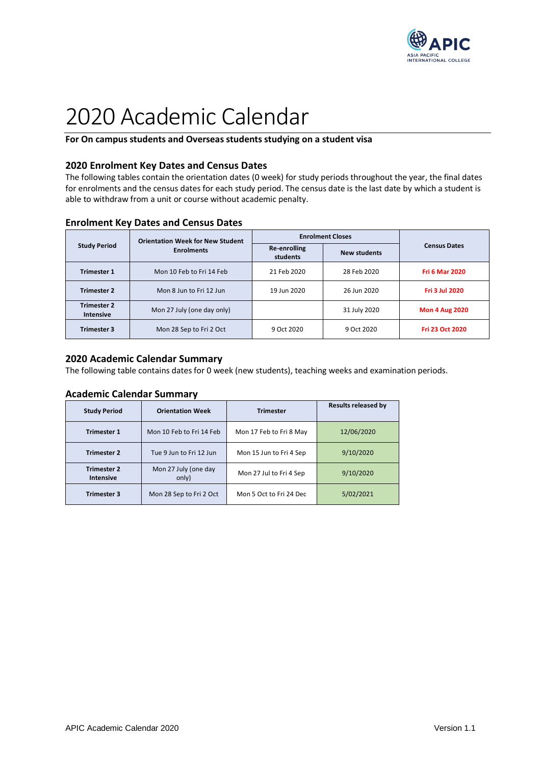

# 2020 Academic Calendar

### **For On campus students and Overseas students studying on a student visa**

#### **2020 Enrolment Key Dates and Census Dates**

The following tables contain the orientation dates (0 week) for study periods throughout the year, the final dates for enrolments and the census dates for each study period. The census date is the last date by which a student is able to withdraw from a unit or course without academic penalty.

| <b>Study Period</b>                    | <b>Orientation Week for New Student</b> | <b>Enrolment Closes</b>  |                     |                       |
|----------------------------------------|-----------------------------------------|--------------------------|---------------------|-----------------------|
|                                        | <b>Enrolments</b>                       | Re-enrolling<br>students | <b>New students</b> | <b>Census Dates</b>   |
| <b>Trimester 1</b>                     | Mon 10 Feb to Fri 14 Feb                | 21 Feb 2020              | 28 Feb 2020         | <b>Fri 6 Mar 2020</b> |
| <b>Trimester 2</b>                     | Mon 8 Jun to Fri 12 Jun                 | 19 Jun 2020              | 26 Jun 2020         | <b>Fri 3 Jul 2020</b> |
| <b>Trimester 2</b><br><b>Intensive</b> | Mon 27 July (one day only)              |                          | 31 July 2020        | <b>Mon 4 Aug 2020</b> |
| <b>Trimester 3</b>                     | Mon 28 Sep to Fri 2 Oct                 | 9 Oct 2020               | 9 Oct 2020          | Fri 23 Oct 2020       |

#### **Enrolment Key Dates and Census Dates**

#### **2020 Academic Calendar Summary**

The following table contains dates for 0 week (new students), teaching weeks and examination periods.

#### **Academic Calendar Summary**

| <b>Study Period</b><br><b>Orientation Week</b> |                                                          | <b>Trimester</b>        | <b>Results released by</b> |
|------------------------------------------------|----------------------------------------------------------|-------------------------|----------------------------|
| <b>Trimester 1</b>                             | Mon 10 Feb to Fri 14 Feb                                 | Mon 17 Feb to Fri 8 May | 12/06/2020                 |
| <b>Trimester 2</b>                             | Tue 9 Jun to Fri 12 Jun                                  | Mon 15 Jun to Fri 4 Sep | 9/10/2020                  |
| <b>Trimester 2</b><br><b>Intensive</b>         | Mon 27 July (one day<br>Mon 27 Jul to Fri 4 Sep<br>only) |                         | 9/10/2020                  |
| <b>Trimester 3</b>                             | Mon 28 Sep to Fri 2 Oct                                  | Mon 5 Oct to Fri 24 Dec | 5/02/2021                  |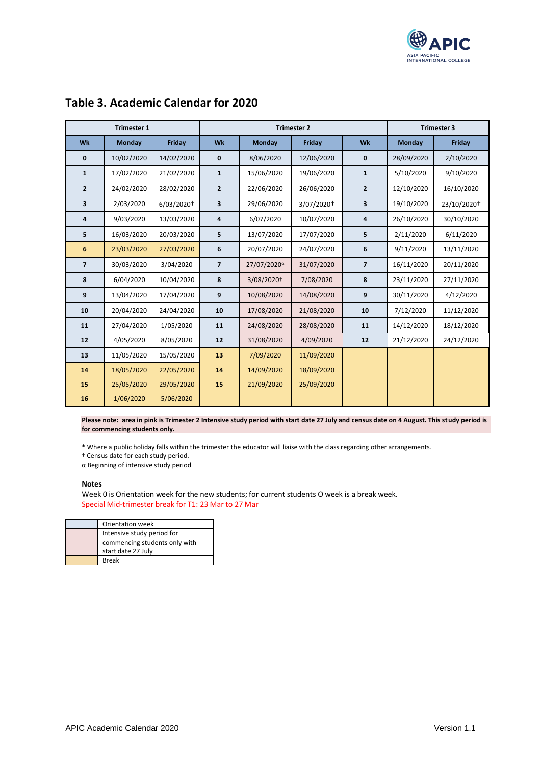

| <b>Trimester 1</b> |            | <b>Trimester 2</b>       |                |                         | <b>Trimester 3</b> |                |            |             |
|--------------------|------------|--------------------------|----------------|-------------------------|--------------------|----------------|------------|-------------|
| Wk                 | Monday     | Friday                   | Wk             | Monday                  | <b>Friday</b>      | Wk             | Monday     | Friday      |
| $\mathbf 0$        | 10/02/2020 | 14/02/2020               | 0              | 8/06/2020               | 12/06/2020         | $\mathbf{0}$   | 28/09/2020 | 2/10/2020   |
| $\mathbf{1}$       | 17/02/2020 | 21/02/2020               | $\mathbf{1}$   | 15/06/2020              | 19/06/2020         | $\mathbf{1}$   | 5/10/2020  | 9/10/2020   |
| $\overline{2}$     | 24/02/2020 | 28/02/2020               | $\mathbf{2}$   | 22/06/2020              | 26/06/2020         | $\mathbf{2}$   | 12/10/2020 | 16/10/2020  |
| 3                  | 2/03/2020  | $6/03/2020$ <sup>+</sup> | 3              | 29/06/2020              | 3/07/2020+         | 3              | 19/10/2020 | 23/10/2020† |
| 4                  | 9/03/2020  | 13/03/2020               | 4              | 6/07/2020               | 10/07/2020         | 4              | 26/10/2020 | 30/10/2020  |
| 5                  | 16/03/2020 | 20/03/2020               | 5              | 13/07/2020              | 17/07/2020         | 5              | 2/11/2020  | 6/11/2020   |
| 6                  | 23/03/2020 | 27/03/2020               | 6              | 20/07/2020              | 24/07/2020         | 6              | 9/11/2020  | 13/11/2020  |
| $\overline{7}$     | 30/03/2020 | 3/04/2020                | $\overline{7}$ | 27/07/2020 <sup>a</sup> | 31/07/2020         | $\overline{7}$ | 16/11/2020 | 20/11/2020  |
| 8                  | 6/04/2020  | 10/04/2020               | 8              | 3/08/2020†              | 7/08/2020          | 8              | 23/11/2020 | 27/11/2020  |
| 9                  | 13/04/2020 | 17/04/2020               | 9              | 10/08/2020              | 14/08/2020         | 9              | 30/11/2020 | 4/12/2020   |
| 10                 | 20/04/2020 | 24/04/2020               | 10             | 17/08/2020              | 21/08/2020         | 10             | 7/12/2020  | 11/12/2020  |
| 11                 | 27/04/2020 | 1/05/2020                | 11             | 24/08/2020              | 28/08/2020         | 11             | 14/12/2020 | 18/12/2020  |
| 12                 | 4/05/2020  | 8/05/2020                | 12             | 31/08/2020              | 4/09/2020          | 12             | 21/12/2020 | 24/12/2020  |
| 13                 | 11/05/2020 | 15/05/2020               | 13             | 7/09/2020               | 11/09/2020         |                |            |             |
| 14                 | 18/05/2020 | 22/05/2020               | 14             | 14/09/2020              | 18/09/2020         |                |            |             |
| 15                 | 25/05/2020 | 29/05/2020               | 15             | 21/09/2020              | 25/09/2020         |                |            |             |
| 16                 | 1/06/2020  | 5/06/2020                |                |                         |                    |                |            |             |

# **Table 3. Academic Calendar for 2020**

**Please note: area in pink is Trimester 2 Intensive study period with start date 27 July and census date on 4 August. This study period is for commencing students only.**

**\*** Where a public holiday falls within the trimester the educator will liaise with the class regarding other arrangements.

† Census date for each study period.

α Beginning of intensive study period

#### **Notes**

Week 0 is Orientation week for the new students; for current students O week is a break week. Special Mid-trimester break for T1: 23 Mar to 27 Mar

| Orientation week              |
|-------------------------------|
| Intensive study period for    |
| commencing students only with |
| start date 27 July            |
| <b>Break</b>                  |